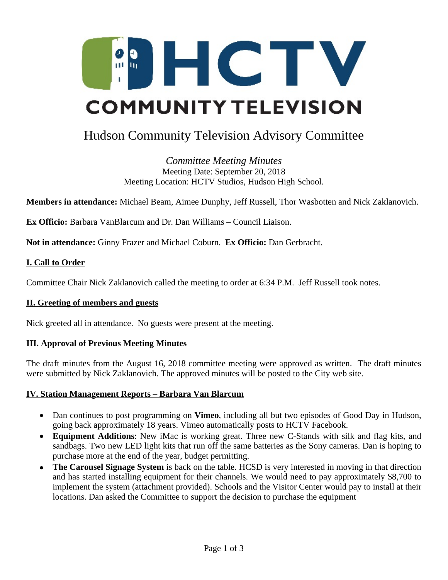

# Hudson Community Television Advisory Committee

*Committee Meeting Minutes* Meeting Date: September 20, 2018 Meeting Location: HCTV Studios, Hudson High School.

**Members in attendance:** Michael Beam, Aimee Dunphy, Jeff Russell, Thor Wasbotten and Nick Zaklanovich.

**Ex Officio:** Barbara VanBlarcum and Dr. Dan Williams – Council Liaison.

**Not in attendance:** Ginny Frazer and Michael Coburn. **Ex Officio:** Dan Gerbracht.

#### **I. Call to Order**

Committee Chair Nick Zaklanovich called the meeting to order at 6:34 P.M. Jeff Russell took notes.

#### **II. Greeting of members and guests**

Nick greeted all in attendance. No guests were present at the meeting.

#### **III. Approval of Previous Meeting Minutes**

The draft minutes from the August 16, 2018 committee meeting were approved as written. The draft minutes were submitted by Nick Zaklanovich. The approved minutes will be posted to the City web site.

#### **IV. Station Management Reports – Barbara Van Blarcum**

- Dan continues to post programming on **Vimeo**, including all but two episodes of Good Day in Hudson, going back approximately 18 years. Vimeo automatically posts to HCTV Facebook.
- **Equipment Additions**: New iMac is working great. Three new C-Stands with silk and flag kits, and sandbags. Two new LED light kits that run off the same batteries as the Sony cameras. Dan is hoping to purchase more at the end of the year, budget permitting.
- **The Carousel Signage System** is back on the table. HCSD is very interested in moving in that direction and has started installing equipment for their channels. We would need to pay approximately \$8,700 to implement the system (attachment provided). Schools and the Visitor Center would pay to install at their locations. Dan asked the Committee to support the decision to purchase the equipment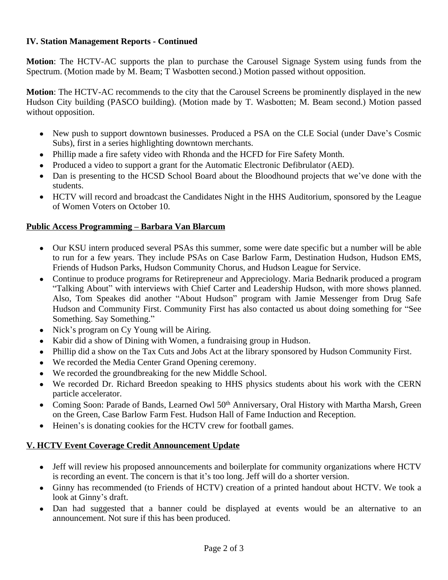#### **IV. Station Management Reports - Continued**

**Motion**: The HCTV-AC supports the plan to purchase the Carousel Signage System using funds from the Spectrum. (Motion made by M. Beam; T Wasbotten second.) Motion passed without opposition.

**Motion**: The HCTV-AC recommends to the city that the Carousel Screens be prominently displayed in the new Hudson City building (PASCO building). (Motion made by T. Wasbotten; M. Beam second.) Motion passed without opposition.

- New push to support downtown businesses. Produced a PSA on the CLE Social (under Dave's Cosmic Subs), first in a series highlighting downtown merchants.
- Phillip made a fire safety video with Rhonda and the HCFD for Fire Safety Month.
- Produced a video to support a grant for the Automatic Electronic Defibrulator (AED).
- Dan is presenting to the HCSD School Board about the Bloodhound projects that we've done with the students.
- HCTV will record and broadcast the Candidates Night in the HHS Auditorium, sponsored by the League of Women Voters on October 10.

## **Public Access Programming – Barbara Van Blarcum**

- Our KSU intern produced several PSAs this summer, some were date specific but a number will be able to run for a few years. They include PSAs on Case Barlow Farm, Destination Hudson, Hudson EMS, Friends of Hudson Parks, Hudson Community Chorus, and Hudson League for Service.
- Continue to produce programs for Retirepreneur and Appreciology. Maria Bednarik produced a program "Talking About" with interviews with Chief Carter and Leadership Hudson, with more shows planned. Also, Tom Speakes did another "About Hudson" program with Jamie Messenger from Drug Safe Hudson and Community First. Community First has also contacted us about doing something for "See Something. Say Something."
- Nick's program on Cy Young will be Airing.
- Kabir did a show of Dining with Women, a fundraising group in Hudson.
- Phillip did a show on the Tax Cuts and Jobs Act at the library sponsored by Hudson Community First.
- We recorded the Media Center Grand Opening ceremony.
- We recorded the groundbreaking for the new Middle School.
- We recorded Dr. Richard Breedon speaking to HHS physics students about his work with the CERN particle accelerator.
- Coming Soon: Parade of Bands, Learned Owl 50<sup>th</sup> Anniversary, Oral History with Martha Marsh, Green on the Green, Case Barlow Farm Fest. Hudson Hall of Fame Induction and Reception.
- Heinen's is donating cookies for the HCTV crew for football games.

# **V. HCTV Event Coverage Credit Announcement Update**

- Jeff will review his proposed announcements and boilerplate for community organizations where HCTV is recording an event. The concern is that it's too long. Jeff will do a shorter version.
- Ginny has recommended (to Friends of HCTV) creation of a printed handout about HCTV. We took a look at Ginny's draft.
- Dan had suggested that a banner could be displayed at events would be an alternative to an announcement. Not sure if this has been produced.